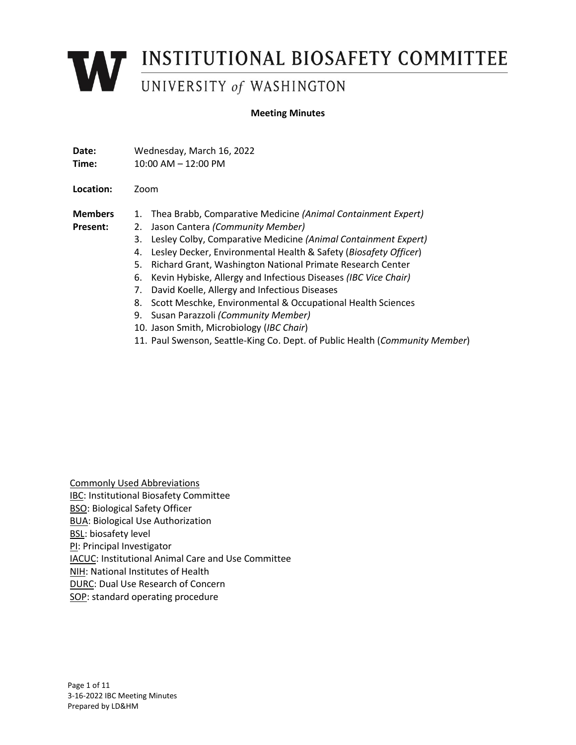# **WEINSTITUTIONAL BIOSAFETY COMMITTEE**

#### **Meeting Minutes**

| Date:<br>Time: | Wednesday, March 16, 2022<br>10:00 AM - 12:00 PM                             |
|----------------|------------------------------------------------------------------------------|
| Location:      | Zoom                                                                         |
| <b>Members</b> | Thea Brabb, Comparative Medicine (Animal Containment Expert)<br>1.           |
| Present:       | Jason Cantera (Community Member)<br>2.                                       |
|                | Lesley Colby, Comparative Medicine (Animal Containment Expert)<br>3.         |
|                | Lesley Decker, Environmental Health & Safety (Biosafety Officer)<br>4.       |
|                | Richard Grant, Washington National Primate Research Center<br>5.             |
|                | Kevin Hybiske, Allergy and Infectious Diseases (IBC Vice Chair)<br>6.        |
|                | David Koelle, Allergy and Infectious Diseases<br>7.                          |
|                | Scott Meschke, Environmental & Occupational Health Sciences<br>8.            |
|                | Susan Parazzoli (Community Member)<br>9.                                     |
|                | 10. Jason Smith, Microbiology (IBC Chair)                                    |
|                | 11. Paul Swenson, Seattle-King Co. Dept. of Public Health (Community Member) |

Commonly Used Abbreviations IBC: Institutional Biosafety Committee BSO: Biological Safety Officer BUA: Biological Use Authorization BSL: biosafety level PI: Principal Investigator IACUC: Institutional Animal Care and Use Committee NIH: National Institutes of Health DURC: Dual Use Research of Concern SOP: standard operating procedure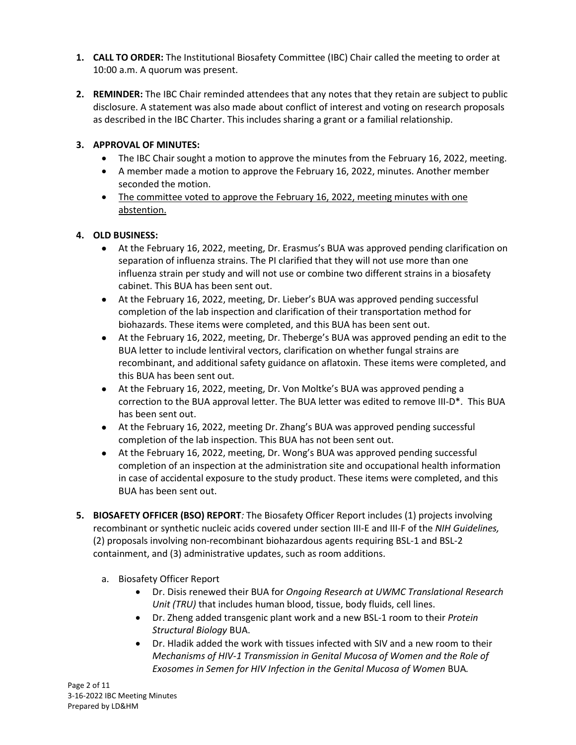- **1. CALL TO ORDER:** The Institutional Biosafety Committee (IBC) Chair called the meeting to order at 10:00 a.m. A quorum was present.
- **2. REMINDER:** The IBC Chair reminded attendees that any notes that they retain are subject to public disclosure. A statement was also made about conflict of interest and voting on research proposals as described in the IBC Charter. This includes sharing a grant or a familial relationship.

# **3. APPROVAL OF MINUTES:**

- The IBC Chair sought a motion to approve the minutes from the February 16, 2022, meeting.
- A member made a motion to approve the February 16, 2022, minutes. Another member seconded the motion.
- The committee voted to approve the February 16, 2022, meeting minutes with one abstention.

## **4. OLD BUSINESS:**

- At the February 16, 2022, meeting, Dr. Erasmus's BUA was approved pending clarification on separation of influenza strains. The PI clarified that they will not use more than one influenza strain per study and will not use or combine two different strains in a biosafety cabinet. This BUA has been sent out.
- At the February 16, 2022, meeting, Dr. Lieber's BUA was approved pending successful completion of the lab inspection and clarification of their transportation method for biohazards. These items were completed, and this BUA has been sent out.
- At the February 16, 2022, meeting, Dr. Theberge's BUA was approved pending an edit to the BUA letter to include lentiviral vectors, clarification on whether fungal strains are recombinant, and additional safety guidance on aflatoxin. These items were completed, and this BUA has been sent out.
- At the February 16, 2022, meeting, Dr. Von Moltke's BUA was approved pending a correction to the BUA approval letter. The BUA letter was edited to remove III-D\*. This BUA has been sent out.
- At the February 16, 2022, meeting Dr. Zhang's BUA was approved pending successful completion of the lab inspection. This BUA has not been sent out.
- At the February 16, 2022, meeting, Dr. Wong's BUA was approved pending successful completion of an inspection at the administration site and occupational health information in case of accidental exposure to the study product. These items were completed, and this BUA has been sent out.
- **5. BIOSAFETY OFFICER (BSO) REPORT***:* The Biosafety Officer Report includes (1) projects involving recombinant or synthetic nucleic acids covered under section III-E and III-F of the *NIH Guidelines,* (2) proposals involving non-recombinant biohazardous agents requiring BSL-1 and BSL-2 containment, and (3) administrative updates, such as room additions.
	- a. Biosafety Officer Report
		- Dr. Disis renewed their BUA for *Ongoing Research at UWMC Translational Research Unit (TRU)* that includes human blood, tissue, body fluids, cell lines.
		- Dr. Zheng added transgenic plant work and a new BSL-1 room to their *Protein Structural Biology* BUA.
		- Dr. Hladik added the work with tissues infected with SIV and a new room to their *Mechanisms of HIV-1 Transmission in Genital Mucosa of Women and the Role of Exosomes in Semen for HIV Infection in the Genital Mucosa of Women* BUA*.*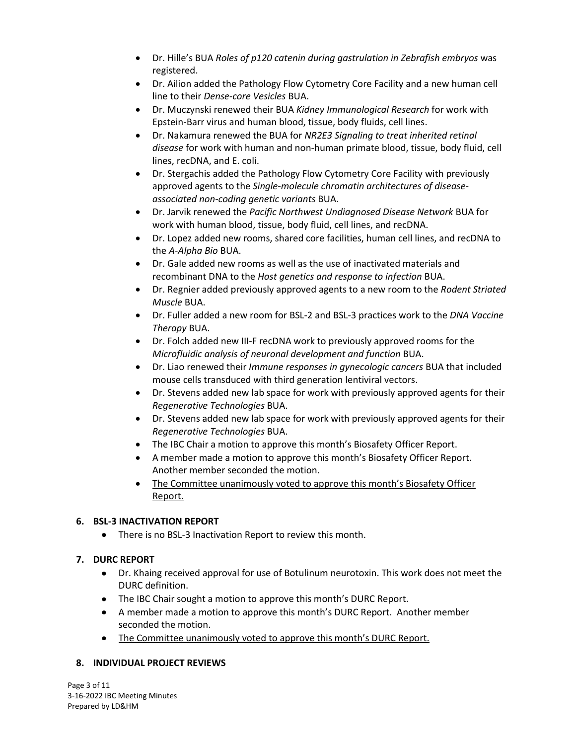- Dr. Hille's BUA *Roles of p120 catenin during gastrulation in Zebrafish embryos* was registered.
- Dr. Ailion added the Pathology Flow Cytometry Core Facility and a new human cell line to their *Dense-core Vesicles* BUA.
- Dr. Muczynski renewed their BUA *Kidney Immunological Research* for work with Epstein-Barr virus and human blood, tissue, body fluids, cell lines.
- Dr. Nakamura renewed the BUA for *NR2E3 Signaling to treat inherited retinal disease* for work with human and non-human primate blood, tissue, body fluid, cell lines, recDNA, and E. coli.
- Dr. Stergachis added the Pathology Flow Cytometry Core Facility with previously approved agents to the *Single-molecule chromatin architectures of diseaseassociated non-coding genetic variants* BUA.
- Dr. Jarvik renewed the *Pacific Northwest Undiagnosed Disease Network* BUA for work with human blood, tissue, body fluid, cell lines, and recDNA.
- Dr. Lopez added new rooms, shared core facilities, human cell lines, and recDNA to the *A-Alpha Bio* BUA.
- Dr. Gale added new rooms as well as the use of inactivated materials and recombinant DNA to the *Host genetics and response to infection* BUA.
- Dr. Regnier added previously approved agents to a new room to the *Rodent Striated Muscle* BUA.
- Dr. Fuller added a new room for BSL-2 and BSL-3 practices work to the *DNA Vaccine Therapy* BUA.
- Dr. Folch added new III-F recDNA work to previously approved rooms for the *Microfluidic analysis of neuronal development and function* BUA.
- Dr. Liao renewed their *Immune responses in gynecologic cancers* BUA that included mouse cells transduced with third generation lentiviral vectors.
- Dr. Stevens added new lab space for work with previously approved agents for their *Regenerative Technologies* BUA.
- Dr. Stevens added new lab space for work with previously approved agents for their *Regenerative Technologies* BUA.
- The IBC Chair a motion to approve this month's Biosafety Officer Report.
- A member made a motion to approve this month's Biosafety Officer Report. Another member seconded the motion.
- The Committee unanimously voted to approve this month's Biosafety Officer Report.

# **6. BSL-3 INACTIVATION REPORT**

• There is no BSL-3 Inactivation Report to review this month.

# **7. DURC REPORT**

- Dr. Khaing received approval for use of Botulinum neurotoxin. This work does not meet the DURC definition.
- The IBC Chair sought a motion to approve this month's DURC Report.
- A member made a motion to approve this month's DURC Report. Another member seconded the motion.
- The Committee unanimously voted to approve this month's DURC Report.

## **8. INDIVIDUAL PROJECT REVIEWS**

Page 3 of 11 3-16-2022 IBC Meeting Minutes Prepared by LD&HM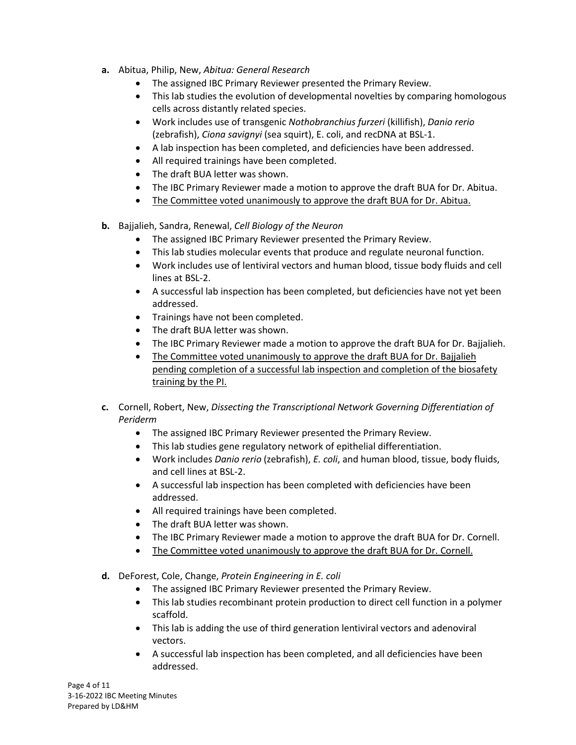- **a.** Abitua, Philip, New, *Abitua: General Research*
	- The assigned IBC Primary Reviewer presented the Primary Review.
	- This lab studies the evolution of developmental novelties by comparing homologous cells across distantly related species.
	- Work includes use of transgenic *Nothobranchius furzeri* (killifish), *Danio rerio* (zebrafish), *Ciona savignyi* (sea squirt), E. coli, and recDNA at BSL-1.
	- A lab inspection has been completed, and deficiencies have been addressed.
	- All required trainings have been completed.
	- The draft BUA letter was shown.
	- The IBC Primary Reviewer made a motion to approve the draft BUA for Dr. Abitua.
	- The Committee voted unanimously to approve the draft BUA for Dr. Abitua.
- **b.** Bajjalieh, Sandra, Renewal, *Cell Biology of the Neuron*
	- The assigned IBC Primary Reviewer presented the Primary Review.
	- This lab studies molecular events that produce and regulate neuronal function.
	- Work includes use of lentiviral vectors and human blood, tissue body fluids and cell lines at BSL-2.
	- A successful lab inspection has been completed, but deficiencies have not yet been addressed.
	- Trainings have not been completed.
	- The draft BUA letter was shown.
	- The IBC Primary Reviewer made a motion to approve the draft BUA for Dr. Bajjalieh.
	- The Committee voted unanimously to approve the draft BUA for Dr. Bajjalieh pending completion of a successful lab inspection and completion of the biosafety training by the PI.
- **c.** Cornell, Robert, New, *Dissecting the Transcriptional Network Governing Differentiation of Periderm*
	- The assigned IBC Primary Reviewer presented the Primary Review.
	- This lab studies gene regulatory network of epithelial differentiation.
	- Work includes *Danio rerio* (zebrafish), *E. coli*, and human blood, tissue, body fluids, and cell lines at BSL-2.
	- A successful lab inspection has been completed with deficiencies have been addressed.
	- All required trainings have been completed.
	- The draft BUA letter was shown.
	- The IBC Primary Reviewer made a motion to approve the draft BUA for Dr. Cornell.
	- The Committee voted unanimously to approve the draft BUA for Dr. Cornell.
- **d.** DeForest, Cole, Change, *Protein Engineering in E. coli*
	- The assigned IBC Primary Reviewer presented the Primary Review.
	- This lab studies recombinant protein production to direct cell function in a polymer scaffold.
	- This lab is adding the use of third generation lentiviral vectors and adenoviral vectors.
	- A successful lab inspection has been completed, and all deficiencies have been addressed.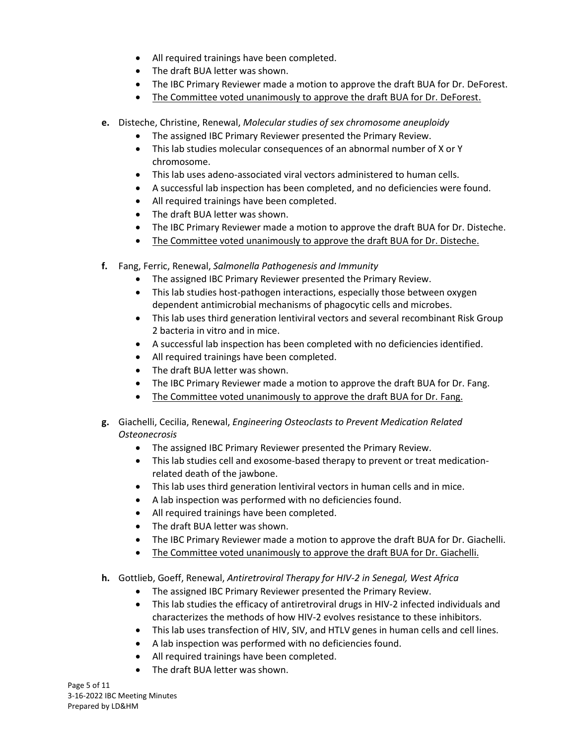- All required trainings have been completed.
- The draft BUA letter was shown.
- The IBC Primary Reviewer made a motion to approve the draft BUA for Dr. DeForest.
- The Committee voted unanimously to approve the draft BUA for Dr. DeForest.
- **e.** Disteche, Christine, Renewal, *Molecular studies of sex chromosome aneuploidy*
	- The assigned IBC Primary Reviewer presented the Primary Review.
	- This lab studies molecular consequences of an abnormal number of X or Y chromosome.
	- This lab uses adeno-associated viral vectors administered to human cells.
	- A successful lab inspection has been completed, and no deficiencies were found.
	- All required trainings have been completed.
	- The draft BUA letter was shown.
	- The IBC Primary Reviewer made a motion to approve the draft BUA for Dr. Disteche.
	- The Committee voted unanimously to approve the draft BUA for Dr. Disteche.
- **f.** Fang, Ferric, Renewal, *Salmonella Pathogenesis and Immunity*
	- The assigned IBC Primary Reviewer presented the Primary Review.
	- This lab studies host-pathogen interactions, especially those between oxygen dependent antimicrobial mechanisms of phagocytic cells and microbes.
	- This lab uses third generation lentiviral vectors and several recombinant Risk Group 2 bacteria in vitro and in mice.
	- A successful lab inspection has been completed with no deficiencies identified.
	- All required trainings have been completed.
	- The draft BUA letter was shown.
	- The IBC Primary Reviewer made a motion to approve the draft BUA for Dr. Fang.
	- The Committee voted unanimously to approve the draft BUA for Dr. Fang.
- **g.** Giachelli, Cecilia, Renewal, *Engineering Osteoclasts to Prevent Medication Related Osteonecrosis*
	- The assigned IBC Primary Reviewer presented the Primary Review.
	- This lab studies cell and exosome-based therapy to prevent or treat medicationrelated death of the jawbone.
	- This lab uses third generation lentiviral vectors in human cells and in mice.
	- A lab inspection was performed with no deficiencies found.
	- All required trainings have been completed.
	- The draft BUA letter was shown.
	- The IBC Primary Reviewer made a motion to approve the draft BUA for Dr. Giachelli.
	- The Committee voted unanimously to approve the draft BUA for Dr. Giachelli.
- **h.** Gottlieb, Goeff, Renewal, *Antiretroviral Therapy for HIV-2 in Senegal, West Africa*
	- The assigned IBC Primary Reviewer presented the Primary Review.
	- This lab studies the efficacy of antiretroviral drugs in HIV-2 infected individuals and characterizes the methods of how HIV-2 evolves resistance to these inhibitors.
	- This lab uses transfection of HIV, SIV, and HTLV genes in human cells and cell lines.
	- A lab inspection was performed with no deficiencies found.
	- All required trainings have been completed.
	- The draft BUA letter was shown.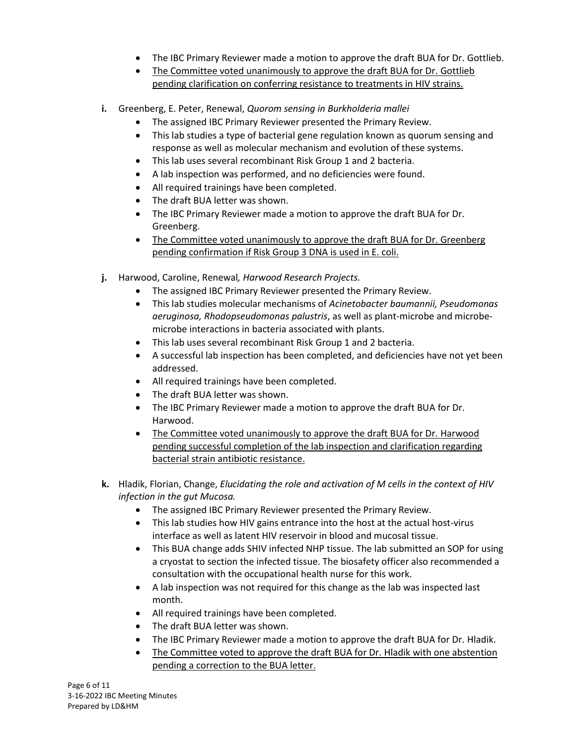- The IBC Primary Reviewer made a motion to approve the draft BUA for Dr. Gottlieb.
- The Committee voted unanimously to approve the draft BUA for Dr. Gottlieb pending clarification on conferring resistance to treatments in HIV strains.
- **i.** Greenberg, E. Peter, Renewal, *Quorom sensing in Burkholderia mallei*
	- The assigned IBC Primary Reviewer presented the Primary Review.
	- This lab studies a type of bacterial gene regulation known as quorum sensing and response as well as molecular mechanism and evolution of these systems.
	- This lab uses several recombinant Risk Group 1 and 2 bacteria.
	- A lab inspection was performed, and no deficiencies were found.
	- All required trainings have been completed.
	- The draft BUA letter was shown.
	- The IBC Primary Reviewer made a motion to approve the draft BUA for Dr. Greenberg.
	- The Committee voted unanimously to approve the draft BUA for Dr. Greenberg pending confirmation if Risk Group 3 DNA is used in E. coli.
- **j.** Harwood, Caroline, Renewal*, Harwood Research Projects.*
	- The assigned IBC Primary Reviewer presented the Primary Review.
	- This lab studies molecular mechanisms of *Acinetobacter baumannii, Pseudomonas aeruginosa, Rhodopseudomonas palustris*, as well as plant-microbe and microbemicrobe interactions in bacteria associated with plants.
	- This lab uses several recombinant Risk Group 1 and 2 bacteria.
	- A successful lab inspection has been completed, and deficiencies have not yet been addressed.
	- All required trainings have been completed.
	- The draft BUA letter was shown.
	- The IBC Primary Reviewer made a motion to approve the draft BUA for Dr. Harwood.
	- The Committee voted unanimously to approve the draft BUA for Dr. Harwood pending successful completion of the lab inspection and clarification regarding bacterial strain antibiotic resistance.
- **k.** Hladik, Florian, Change, *Elucidating the role and activation of M cells in the context of HIV infection in the gut Mucosa.*
	- The assigned IBC Primary Reviewer presented the Primary Review.
	- This lab studies how HIV gains entrance into the host at the actual host-virus interface as well as latent HIV reservoir in blood and mucosal tissue.
	- This BUA change adds SHIV infected NHP tissue. The lab submitted an SOP for using a cryostat to section the infected tissue. The biosafety officer also recommended a consultation with the occupational health nurse for this work.
	- A lab inspection was not required for this change as the lab was inspected last month.
	- All required trainings have been completed.
	- The draft BUA letter was shown.
	- The IBC Primary Reviewer made a motion to approve the draft BUA for Dr. Hladik.
	- The Committee voted to approve the draft BUA for Dr. Hladik with one abstention pending a correction to the BUA letter.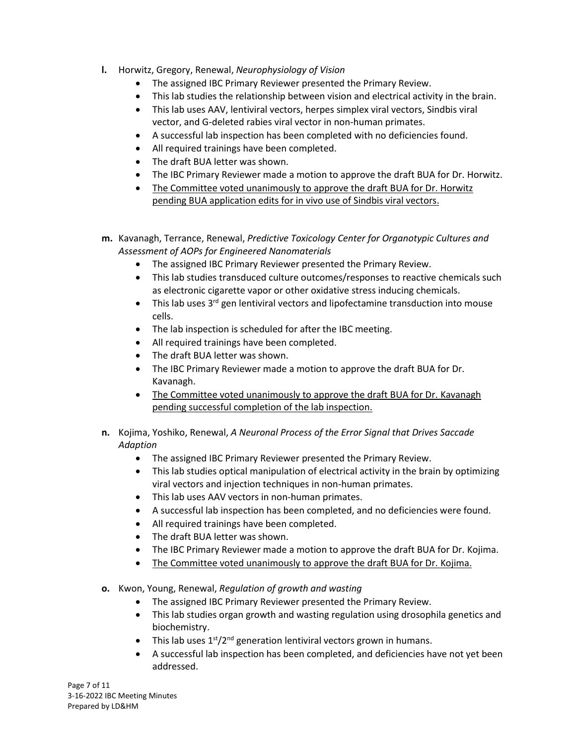- **l.** Horwitz, Gregory, Renewal, *Neurophysiology of Vision*
	- The assigned IBC Primary Reviewer presented the Primary Review.
	- This lab studies the relationship between vision and electrical activity in the brain.
	- This lab uses AAV, lentiviral vectors, herpes simplex viral vectors, Sindbis viral vector, and G-deleted rabies viral vector in non-human primates.
	- A successful lab inspection has been completed with no deficiencies found.
	- All required trainings have been completed.
	- The draft BUA letter was shown.
	- The IBC Primary Reviewer made a motion to approve the draft BUA for Dr. Horwitz.
	- The Committee voted unanimously to approve the draft BUA for Dr. Horwitz pending BUA application edits for in vivo use of Sindbis viral vectors.
- **m.** Kavanagh, Terrance, Renewal, *Predictive Toxicology Center for Organotypic Cultures and Assessment of AOPs for Engineered Nanomaterials*
	- The assigned IBC Primary Reviewer presented the Primary Review.
	- This lab studies transduced culture outcomes/responses to reactive chemicals such as electronic cigarette vapor or other oxidative stress inducing chemicals.
	- This lab uses 3<sup>rd</sup> gen lentiviral vectors and lipofectamine transduction into mouse cells.
	- The lab inspection is scheduled for after the IBC meeting.
	- All required trainings have been completed.
	- The draft BUA letter was shown.
	- The IBC Primary Reviewer made a motion to approve the draft BUA for Dr. Kavanagh.
	- The Committee voted unanimously to approve the draft BUA for Dr. Kavanagh pending successful completion of the lab inspection.
- **n.** Kojima, Yoshiko, Renewal, *A Neuronal Process of the Error Signal that Drives Saccade Adaption*
	- The assigned IBC Primary Reviewer presented the Primary Review.
	- This lab studies optical manipulation of electrical activity in the brain by optimizing viral vectors and injection techniques in non-human primates.
	- This lab uses AAV vectors in non-human primates.
	- A successful lab inspection has been completed, and no deficiencies were found.
	- All required trainings have been completed.
	- The draft BUA letter was shown.
	- The IBC Primary Reviewer made a motion to approve the draft BUA for Dr. Kojima.
	- The Committee voted unanimously to approve the draft BUA for Dr. Kojima.
- **o.** Kwon, Young, Renewal, *Regulation of growth and wasting*
	- The assigned IBC Primary Reviewer presented the Primary Review.
	- This lab studies organ growth and wasting regulation using drosophila genetics and biochemistry.
	- This lab uses  $1<sup>st</sup>/2<sup>nd</sup>$  generation lentiviral vectors grown in humans.
	- A successful lab inspection has been completed, and deficiencies have not yet been addressed.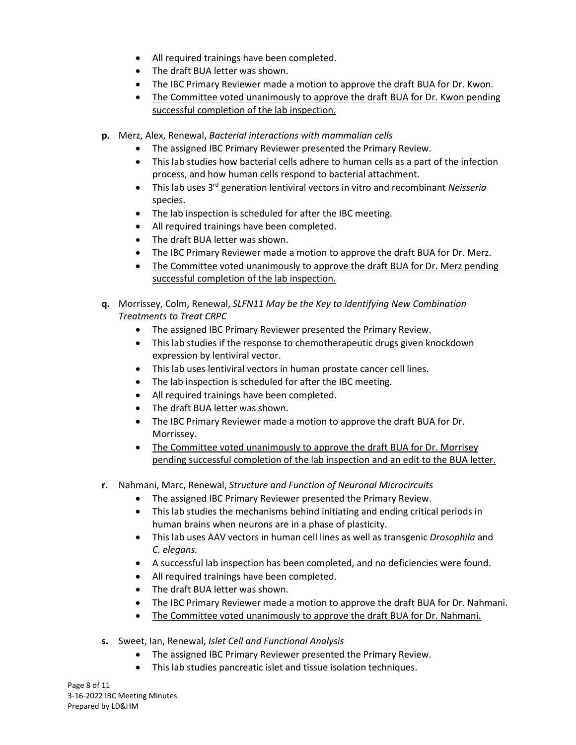- All required trainings have been completed.
- The draft BUA letter was shown.
- The IBC Primary Reviewer made a motion to approve the draft BUA for Dr. Kwon.
- The Committee voted unanimously to approve the draft BUA for Dr. Kwon pending successful completion of the lab inspection.
- **p.** Merz, Alex, Renewal, *Bacterial interactions with mammalian cells*
	- The assigned IBC Primary Reviewer presented the Primary Review.
	- This lab studies how bacterial cells adhere to human cells as a part of the infection process, and how human cells respond to bacterial attachment.
	- This lab uses 3rd generation lentiviral vectors in vitro and recombinant *Neisseria* species.
	- The lab inspection is scheduled for after the IBC meeting.
	- All required trainings have been completed.
	- The draft BUA letter was shown.
	- The IBC Primary Reviewer made a motion to approve the draft BUA for Dr. Merz.
	- The Committee voted unanimously to approve the draft BUA for Dr. Merz pending successful completion of the lab inspection.
- **q.** Morrissey, Colm, Renewal, *SLFN11 May be the Key to Identifying New Combination Treatments to Treat CRPC*
	- The assigned IBC Primary Reviewer presented the Primary Review.
	- This lab studies if the response to chemotherapeutic drugs given knockdown expression by lentiviral vector.
	- This lab uses lentiviral vectors in human prostate cancer cell lines.
	- The lab inspection is scheduled for after the IBC meeting.
	- All required trainings have been completed.
	- The draft BUA letter was shown.
	- The IBC Primary Reviewer made a motion to approve the draft BUA for Dr. Morrissey.
	- The Committee voted unanimously to approve the draft BUA for Dr. Morrisey pending successful completion of the lab inspection and an edit to the BUA letter.
- **r.** Nahmani, Marc, Renewal, *Structure and Function of Neuronal Microcircuits*
	- The assigned IBC Primary Reviewer presented the Primary Review.
	- This lab studies the mechanisms behind initiating and ending critical periods in human brains when neurons are in a phase of plasticity.
	- This lab uses AAV vectors in human cell lines as well as transgenic *Drosophila* and *C. elegans.*
	- A successful lab inspection has been completed, and no deficiencies were found.
	- All required trainings have been completed.
	- The draft BUA letter was shown.
	- The IBC Primary Reviewer made a motion to approve the draft BUA for Dr. Nahmani.
	- The Committee voted unanimously to approve the draft BUA for Dr. Nahmani.
- **s.** Sweet, Ian, Renewal, *Islet Cell and Functional Analysis*
	- The assigned IBC Primary Reviewer presented the Primary Review.
	- This lab studies pancreatic islet and tissue isolation techniques.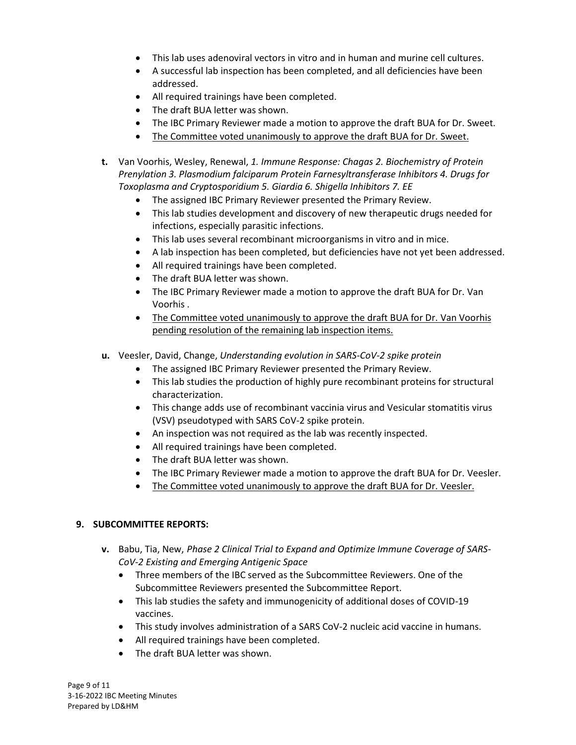- This lab uses adenoviral vectors in vitro and in human and murine cell cultures.
- A successful lab inspection has been completed, and all deficiencies have been addressed.
- All required trainings have been completed.
- The draft BUA letter was shown.
- The IBC Primary Reviewer made a motion to approve the draft BUA for Dr. Sweet.
- The Committee voted unanimously to approve the draft BUA for Dr. Sweet.
- **t.** Van Voorhis, Wesley, Renewal, *1. Immune Response: Chagas 2. Biochemistry of Protein Prenylation 3. Plasmodium falciparum Protein Farnesyltransferase Inhibitors 4. Drugs for Toxoplasma and Cryptosporidium 5. Giardia 6. Shigella Inhibitors 7. EE*
	- The assigned IBC Primary Reviewer presented the Primary Review.
	- This lab studies development and discovery of new therapeutic drugs needed for infections, especially parasitic infections.
	- This lab uses several recombinant microorganisms in vitro and in mice.
	- A lab inspection has been completed, but deficiencies have not yet been addressed.
	- All required trainings have been completed.
	- The draft BUA letter was shown.
	- The IBC Primary Reviewer made a motion to approve the draft BUA for Dr. Van Voorhis .
	- The Committee voted unanimously to approve the draft BUA for Dr. Van Voorhis pending resolution of the remaining lab inspection items.
- **u.** Veesler, David, Change, *Understanding evolution in SARS-CoV-2 spike protein*
	- The assigned IBC Primary Reviewer presented the Primary Review.
	- This lab studies the production of highly pure recombinant proteins for structural characterization.
	- This change adds use of recombinant vaccinia virus and Vesicular stomatitis virus (VSV) pseudotyped with SARS CoV-2 spike protein.
	- An inspection was not required as the lab was recently inspected.
	- All required trainings have been completed.
	- The draft BUA letter was shown.
	- The IBC Primary Reviewer made a motion to approve the draft BUA for Dr. Veesler.
	- The Committee voted unanimously to approve the draft BUA for Dr. Veesler.

#### **9. SUBCOMMITTEE REPORTS:**

- **v.** Babu, Tia, New, *Phase 2 Clinical Trial to Expand and Optimize Immune Coverage of SARS-CoV-2 Existing and Emerging Antigenic Space*
	- Three members of the IBC served as the Subcommittee Reviewers. One of the Subcommittee Reviewers presented the Subcommittee Report.
	- This lab studies the safety and immunogenicity of additional doses of COVID-19 vaccines.
	- This study involves administration of a SARS CoV-2 nucleic acid vaccine in humans.
	- All required trainings have been completed.
	- The draft BUA letter was shown.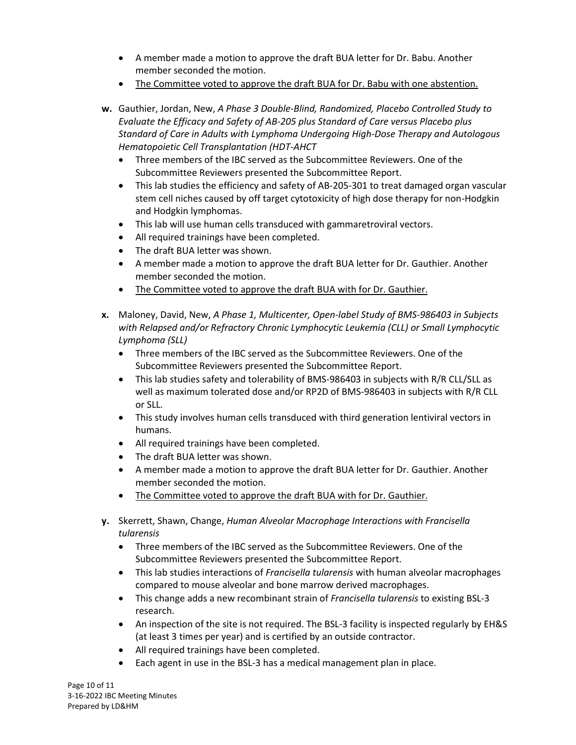- A member made a motion to approve the draft BUA letter for Dr. Babu. Another member seconded the motion.
- The Committee voted to approve the draft BUA for Dr. Babu with one abstention.
- **w.** Gauthier, Jordan, New, *A Phase 3 Double-Blind, Randomized, Placebo Controlled Study to Evaluate the Efficacy and Safety of AB-205 plus Standard of Care versus Placebo plus Standard of Care in Adults with Lymphoma Undergoing High-Dose Therapy and Autologous Hematopoietic Cell Transplantation (HDT-AHCT*
	- Three members of the IBC served as the Subcommittee Reviewers. One of the Subcommittee Reviewers presented the Subcommittee Report.
	- This lab studies the efficiency and safety of AB-205-301 to treat damaged organ vascular stem cell niches caused by off target cytotoxicity of high dose therapy for non-Hodgkin and Hodgkin lymphomas.
	- This lab will use human cells transduced with gammaretroviral vectors.
	- All required trainings have been completed.
	- The draft BUA letter was shown.
	- A member made a motion to approve the draft BUA letter for Dr. Gauthier. Another member seconded the motion.
	- The Committee voted to approve the draft BUA with for Dr. Gauthier.
- **x.** Maloney, David, New, *A Phase 1, Multicenter, Open-label Study of BMS-986403 in Subjects with Relapsed and/or Refractory Chronic Lymphocytic Leukemia (CLL) or Small Lymphocytic Lymphoma (SLL)*
	- Three members of the IBC served as the Subcommittee Reviewers. One of the Subcommittee Reviewers presented the Subcommittee Report.
	- This lab studies safety and tolerability of BMS-986403 in subjects with R/R CLL/SLL as well as maximum tolerated dose and/or RP2D of BMS-986403 in subjects with R/R CLL or SLL.
	- This study involves human cells transduced with third generation lentiviral vectors in humans.
	- All required trainings have been completed.
	- The draft BUA letter was shown.
	- A member made a motion to approve the draft BUA letter for Dr. Gauthier. Another member seconded the motion.
	- The Committee voted to approve the draft BUA with for Dr. Gauthier.
- **y.** Skerrett, Shawn, Change, *Human Alveolar Macrophage Interactions with Francisella tularensis*
	- Three members of the IBC served as the Subcommittee Reviewers. One of the Subcommittee Reviewers presented the Subcommittee Report.
	- This lab studies interactions of *Francisella tularensis* with human alveolar macrophages compared to mouse alveolar and bone marrow derived macrophages.
	- This change adds a new recombinant strain of *Francisella tularensis* to existing BSL-3 research.
	- An inspection of the site is not required. The BSL-3 facility is inspected regularly by EH&S (at least 3 times per year) and is certified by an outside contractor.
	- All required trainings have been completed.
	- Each agent in use in the BSL-3 has a medical management plan in place.